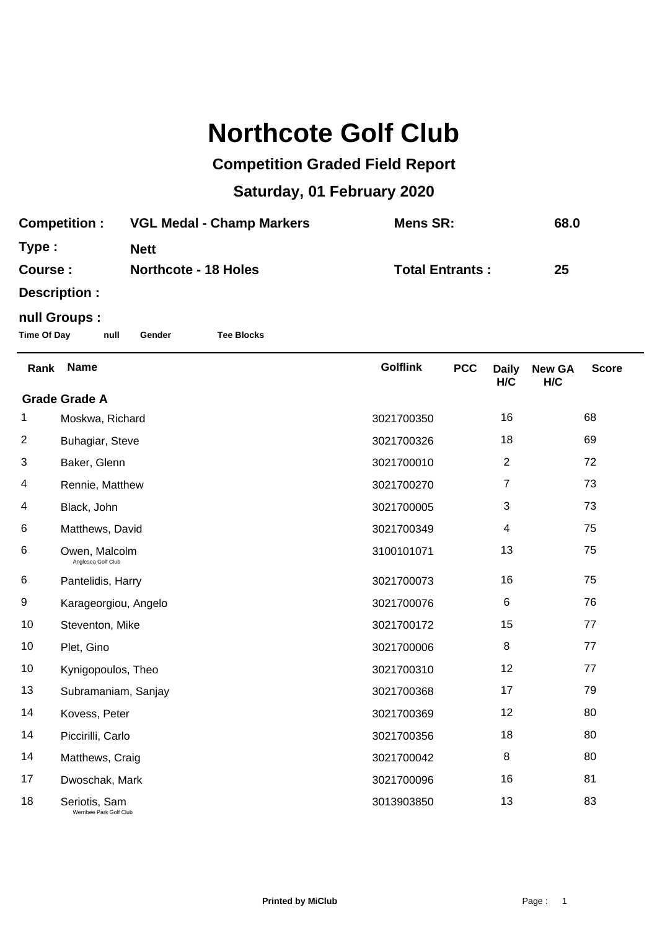## **Northcote Golf Club**

## **Competition Graded Field Report**

## **Saturday, 01 February 2020**

| <b>Competition :</b> | <b>VGL Medal - Champ Markers</b> | Mens SR:               | 68.0 |  |
|----------------------|----------------------------------|------------------------|------|--|
| Type :               | <b>Nett</b>                      |                        |      |  |
| <b>Course :</b>      | <b>Northcote - 18 Holes</b>      | <b>Total Entrants:</b> | 25   |  |
| Description :        |                                  |                        |      |  |
|                      |                                  |                        |      |  |

## **null Groups :**

**Time Of Day null Gender Tee Blocks**

| Rank                               | <b>Name</b>                              | <b>Golflink</b> | <b>PCC</b> | <b>Daily</b>   | <b>New GA</b> | <b>Score</b> |  |
|------------------------------------|------------------------------------------|-----------------|------------|----------------|---------------|--------------|--|
| H/C<br>H/C<br><b>Grade Grade A</b> |                                          |                 |            |                |               |              |  |
| 1                                  | Moskwa, Richard                          | 3021700350      |            | 16             |               | 68           |  |
| $\overline{2}$                     | Buhagiar, Steve                          | 3021700326      |            | 18             |               | 69           |  |
| 3                                  | Baker, Glenn                             | 3021700010      |            | 2              |               | 72           |  |
| 4                                  | Rennie, Matthew                          | 3021700270      |            | $\overline{7}$ |               | 73           |  |
| 4                                  | Black, John                              | 3021700005      |            | 3              |               | 73           |  |
| 6                                  | Matthews, David                          | 3021700349      |            | 4              |               | 75           |  |
| 6                                  | Owen, Malcolm<br>Anglesea Golf Club      | 3100101071      |            | 13             |               | 75           |  |
| 6                                  | Pantelidis, Harry                        | 3021700073      |            | 16             |               | 75           |  |
| 9                                  | Karageorgiou, Angelo                     | 3021700076      |            | 6              |               | 76           |  |
| 10                                 | Steventon, Mike                          | 3021700172      |            | 15             |               | 77           |  |
| 10                                 | Plet, Gino                               | 3021700006      |            | 8              |               | 77           |  |
| 10                                 | Kynigopoulos, Theo                       | 3021700310      |            | 12             |               | 77           |  |
| 13                                 | Subramaniam, Sanjay                      | 3021700368      |            | 17             |               | 79           |  |
| 14                                 | Kovess, Peter                            | 3021700369      |            | 12             |               | 80           |  |
| 14                                 | Piccirilli, Carlo                        | 3021700356      |            | 18             |               | 80           |  |
| 14                                 | Matthews, Craig                          | 3021700042      |            | 8              |               | 80           |  |
| 17                                 | Dwoschak, Mark                           | 3021700096      |            | 16             |               | 81           |  |
| 18                                 | Seriotis, Sam<br>Werribee Park Golf Club | 3013903850      |            | 13             |               | 83           |  |